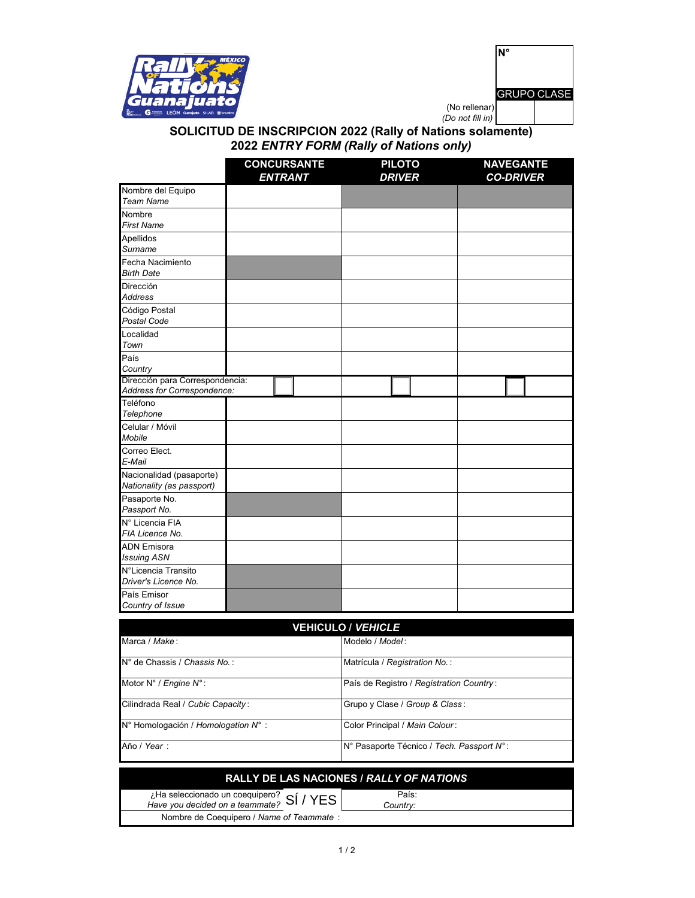

|                                   | <b>GRUPO CLASE</b> |  |
|-----------------------------------|--------------------|--|
| (No rellenar)<br>(Do not fill in) |                    |  |

## **SOLICITUD DE INSCRIPCION 2022 (Rally of Nations solamente) 2022** *ENTRY FORM (Rally of Nations only)*

|                                                                | <b>CONCURSANTE</b><br><b>ENTRANT</b> | <b>PILOTO</b><br><b>DRIVER</b> | <b>NAVEGANTE</b><br><b>CO-DRIVER</b> |  |  |
|----------------------------------------------------------------|--------------------------------------|--------------------------------|--------------------------------------|--|--|
| Nombre del Equipo<br><b>Team Name</b>                          |                                      |                                |                                      |  |  |
| Nombre<br><b>First Name</b>                                    |                                      |                                |                                      |  |  |
| Apellidos<br>Surname                                           |                                      |                                |                                      |  |  |
| Fecha Nacimiento<br><b>Birth Date</b>                          |                                      |                                |                                      |  |  |
| Dirección<br><b>Address</b>                                    |                                      |                                |                                      |  |  |
| Código Postal<br><b>Postal Code</b>                            |                                      |                                |                                      |  |  |
| Localidad<br>Town                                              |                                      |                                |                                      |  |  |
| País<br>Country                                                |                                      |                                |                                      |  |  |
| Dirección para Correspondencia:<br>Address for Correspondence: |                                      |                                |                                      |  |  |
| Teléfono<br>Telephone                                          |                                      |                                |                                      |  |  |
| Celular / Móvil<br>Mobile                                      |                                      |                                |                                      |  |  |
| Correo Elect.<br>E-Mail                                        |                                      |                                |                                      |  |  |
| Nacionalidad (pasaporte)<br>Nationality (as passport)          |                                      |                                |                                      |  |  |
| Pasaporte No.<br>Passport No.                                  |                                      |                                |                                      |  |  |
| N° Licencia FIA<br>FIA Licence No.                             |                                      |                                |                                      |  |  |
| <b>ADN Emisora</b><br><b>Issuing ASN</b>                       |                                      |                                |                                      |  |  |
| N°Licencia Transito<br>Driver's Licence No.                    |                                      |                                |                                      |  |  |
| País Emisor<br>Country of Issue                                |                                      |                                |                                      |  |  |

| <b>VEHICULO / <i>VEHICLE</i></b>    |                                             |  |  |
|-------------------------------------|---------------------------------------------|--|--|
| Marca / Make:                       | Modelo / Model:                             |  |  |
| N° de Chassis / Chassis No.:        | Matrícula / Registration No.:               |  |  |
| Motor N° / Engine N°:               | País de Registro / Registration Country:    |  |  |
| Cilindrada Real / Cubic Capacity:   | Grupo y Clase / Group & Class:              |  |  |
| N° Homologación / Homologation N° : | Color Principal / Main Colour:              |  |  |
| Año / Year:                         | IN° Pasaporte Técnico / Tech. Passport N° : |  |  |

| <b>RALLY DE LAS NACIONES / RALLY OF NATIONS</b> |                   |  |  |  |
|-------------------------------------------------|-------------------|--|--|--|
| ¿Ha seleccionado un coequipero? $Si / YES$      | País:<br>Countrv: |  |  |  |
| Nombre de Coequipero / Name of Teammate:        |                   |  |  |  |